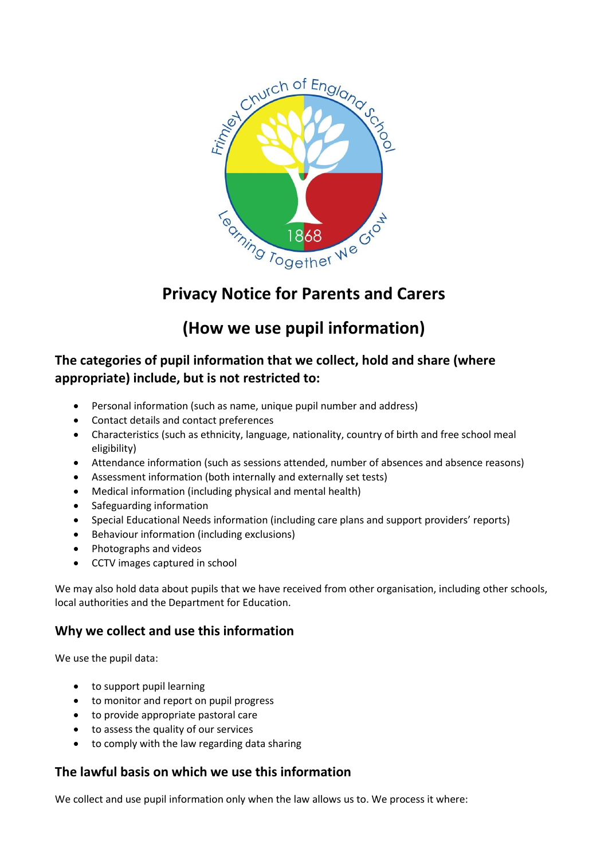

# **Privacy Notice for Parents and Carers**

# **(How we use pupil information)**

# **The categories of pupil information that we collect, hold and share (where appropriate) include, but is not restricted to:**

- Personal information (such as name, unique pupil number and address)
- Contact details and contact preferences
- Characteristics (such as ethnicity, language, nationality, country of birth and free school meal eligibility)
- Attendance information (such as sessions attended, number of absences and absence reasons)
- Assessment information (both internally and externally set tests)
- Medical information (including physical and mental health)
- Safeguarding information
- Special Educational Needs information (including care plans and support providers' reports)
- Behaviour information (including exclusions)
- Photographs and videos
- CCTV images captured in school

We may also hold data about pupils that we have received from other organisation, including other schools, local authorities and the Department for Education.

# **Why we collect and use this information**

We use the pupil data:

- to support pupil learning
- to monitor and report on pupil progress
- to provide appropriate pastoral care
- to assess the quality of our services
- to comply with the law regarding data sharing

# **The lawful basis on which we use this information**

We collect and use pupil information only when the law allows us to. We process it where: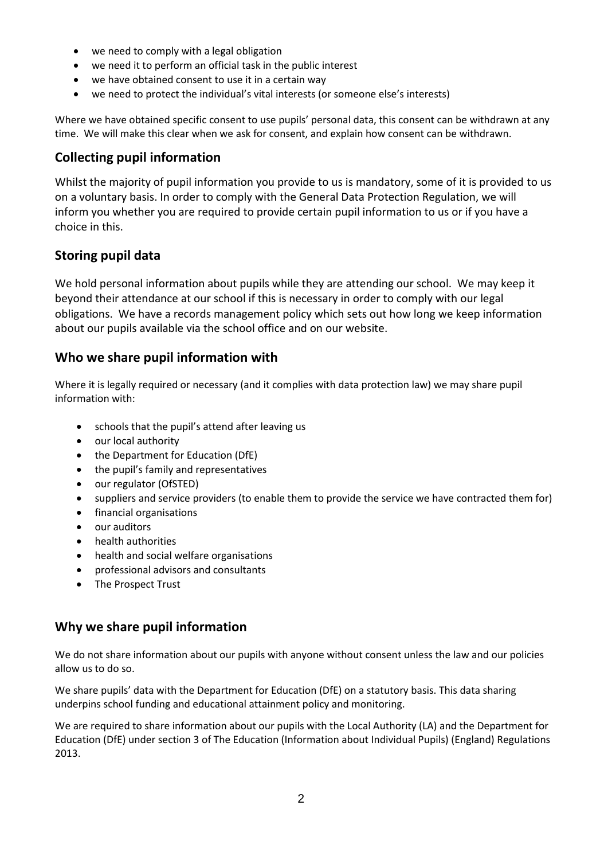- we need to comply with a legal obligation
- we need it to perform an official task in the public interest
- we have obtained consent to use it in a certain way
- we need to protect the individual's vital interests (or someone else's interests)

Where we have obtained specific consent to use pupils' personal data, this consent can be withdrawn at any time. We will make this clear when we ask for consent, and explain how consent can be withdrawn.

#### **Collecting pupil information**

Whilst the majority of pupil information you provide to us is mandatory, some of it is provided to us on a voluntary basis. In order to comply with the General Data Protection Regulation, we will inform you whether you are required to provide certain pupil information to us or if you have a choice in this.

### **Storing pupil data**

We hold personal information about pupils while they are attending our school. We may keep it beyond their attendance at our school if this is necessary in order to comply with our legal obligations. We have a records management policy which sets out how long we keep information about our pupils available via the school office and on our website.

#### **Who we share pupil information with**

Where it is legally required or necessary (and it complies with data protection law) we may share pupil information with:

- schools that the pupil's attend after leaving us
- our local authority
- the Department for Education (DfE)
- the pupil's family and representatives
- our regulator (OfSTED)
- suppliers and service providers (to enable them to provide the service we have contracted them for)
- financial organisations
- our auditors
- health authorities
- health and social welfare organisations
- professional advisors and consultants
- The Prospect Trust

### **Why we share pupil information**

We do not share information about our pupils with anyone without consent unless the law and our policies allow us to do so.

We share pupils' data with the Department for Education (DfE) on a statutory basis. This data sharing underpins school funding and educational attainment policy and monitoring.

We are required to share information about our pupils with the Local Authority (LA) and the Department for Education (DfE) under section 3 of The Education (Information about Individual Pupils) (England) Regulations 2013.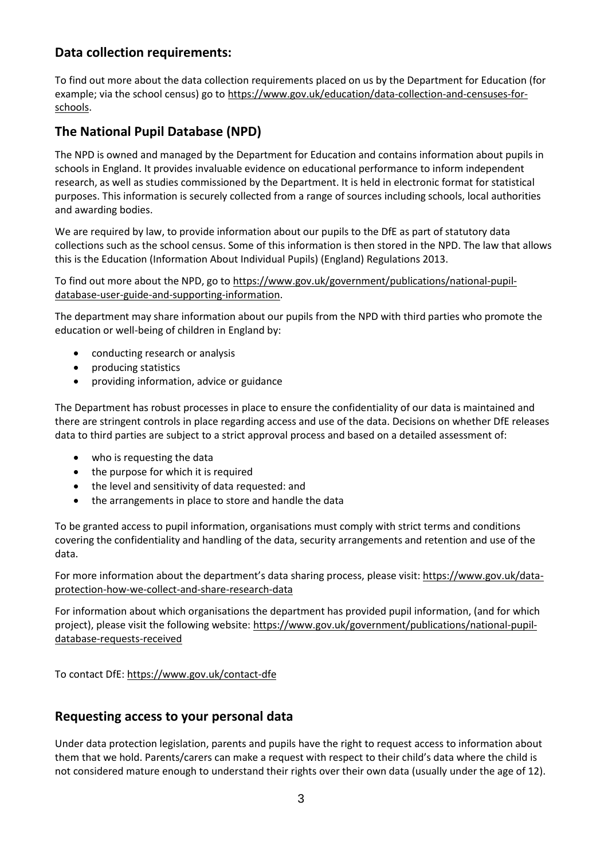# **Data collection requirements:**

To find out more about the data collection requirements placed on us by the Department for Education (for example; via the school census) go to [https://www.gov.uk/education/data-collection-and-censuses-for](https://www.gov.uk/education/data-collection-and-censuses-for-schools)[schools.](https://www.gov.uk/education/data-collection-and-censuses-for-schools)

# **The National Pupil Database (NPD)**

The NPD is owned and managed by the Department for Education and contains information about pupils in schools in England. It provides invaluable evidence on educational performance to inform independent research, as well as studies commissioned by the Department. It is held in electronic format for statistical purposes. This information is securely collected from a range of sources including schools, local authorities and awarding bodies.

We are required by law, to provide information about our pupils to the DfE as part of statutory data collections such as the school census. Some of this information is then stored in the NPD. The law that allows this is the Education (Information About Individual Pupils) (England) Regulations 2013.

To find out more about the NPD, go to [https://www.gov.uk/government/publications/national-pupil](https://www.gov.uk/government/publications/national-pupil-database-user-guide-and-supporting-information)[database-user-guide-and-supporting-information.](https://www.gov.uk/government/publications/national-pupil-database-user-guide-and-supporting-information)

The department may share information about our pupils from the NPD with third parties who promote the education or well-being of children in England by:

- conducting research or analysis
- producing statistics
- providing information, advice or guidance

The Department has robust processes in place to ensure the confidentiality of our data is maintained and there are stringent controls in place regarding access and use of the data. Decisions on whether DfE releases data to third parties are subject to a strict approval process and based on a detailed assessment of:

- who is requesting the data
- the purpose for which it is required
- the level and sensitivity of data requested: and
- the arrangements in place to store and handle the data

To be granted access to pupil information, organisations must comply with strict terms and conditions covering the confidentiality and handling of the data, security arrangements and retention and use of the data.

For more information about the department's data sharing process, please visit: [https://www.gov.uk/data](https://www.gov.uk/data-protection-how-we-collect-and-share-research-data)[protection-how-we-collect-and-share-research-data](https://www.gov.uk/data-protection-how-we-collect-and-share-research-data)

For information about which organisations the department has provided pupil information, (and for which project), please visit the following website: [https://www.gov.uk/government/publications/national-pupil](https://www.gov.uk/government/publications/national-pupil-database-requests-received)[database-requests-received](https://www.gov.uk/government/publications/national-pupil-database-requests-received)

To contact DfE[: https://www.gov.uk/contact-dfe](https://www.gov.uk/contact-dfe)

### **Requesting access to your personal data**

Under data protection legislation, parents and pupils have the right to request access to information about them that we hold. Parents/carers can make a request with respect to their child's data where the child is not considered mature enough to understand their rights over their own data (usually under the age of 12).